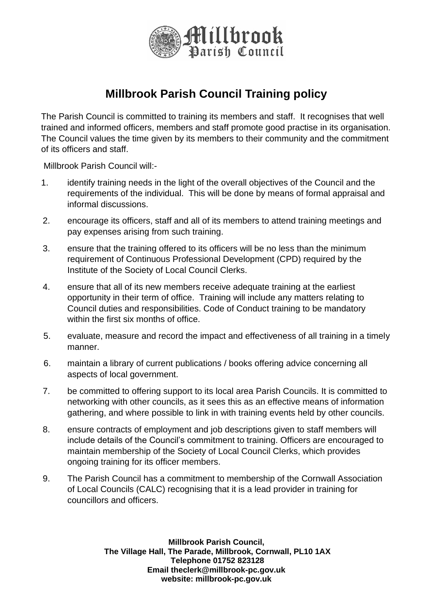

## **Millbrook Parish Council Training policy**

The Parish Council is committed to training its members and staff. It recognises that well trained and informed officers, members and staff promote good practise in its organisation. The Council values the time given by its members to their community and the commitment of its officers and staff.

Millbrook Parish Council will:-

- 1. identify training needs in the light of the overall objectives of the Council and the requirements of the individual. This will be done by means of formal appraisal and informal discussions.
- 2. encourage its officers, staff and all of its members to attend training meetings and pay expenses arising from such training.
- 3. ensure that the training offered to its officers will be no less than the minimum requirement of Continuous Professional Development (CPD) required by the Institute of the Society of Local Council Clerks.
- 4. ensure that all of its new members receive adequate training at the earliest opportunity in their term of office. Training will include any matters relating to Council duties and responsibilities. Code of Conduct training to be mandatory within the first six months of office.
- 5. evaluate, measure and record the impact and effectiveness of all training in a timely manner.
- 6. maintain a library of current publications / books offering advice concerning all aspects of local government.
- 7. be committed to offering support to its local area Parish Councils. It is committed to networking with other councils, as it sees this as an effective means of information gathering, and where possible to link in with training events held by other councils.
- 8. ensure contracts of employment and job descriptions given to staff members will include details of the Council's commitment to training. Officers are encouraged to maintain membership of the Society of Local Council Clerks, which provides ongoing training for its officer members.
- 9. The Parish Council has a commitment to membership of the Cornwall Association of Local Councils (CALC) recognising that it is a lead provider in training for councillors and officers.

**Millbrook Parish Council, The Village Hall, The Parade, Millbrook, Cornwall, PL10 1AX Telephone 01752 823128 Email theclerk@millbrook-pc.gov.uk website: millbrook-pc.gov.uk**